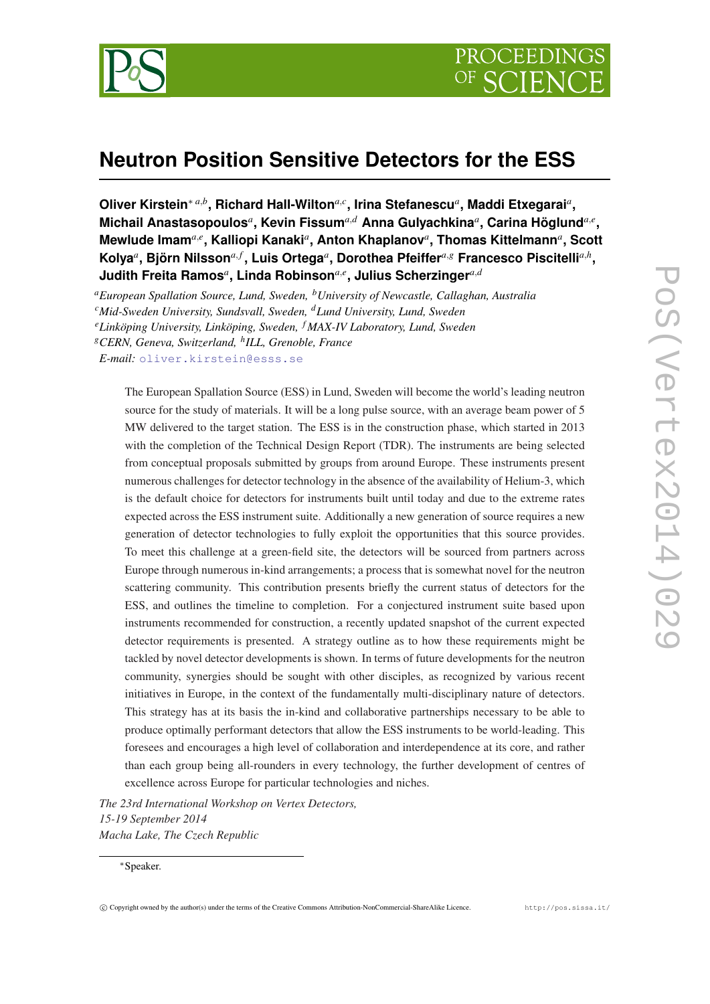

# **Neutron Position Sensitive Detectors for the ESS**

**Oliver Kirstein**<sup>∗</sup> *<sup>a</sup>*,*<sup>b</sup>* **, Richard Hall-Wilton***a*,*<sup>c</sup>* **, Irina Stefanescu***<sup>a</sup>* **, Maddi Etxegarai***<sup>a</sup>* **,**  $\blacksquare$ Michail Anastasopoulos ${}^a,$  Kevin Fissum ${}^{a,d}$  Anna Gulyachkina ${}^a,$  Carina Höglund ${}^{a,e},$ **Mewlude Imam***a*,*<sup>e</sup>* **, Kalliopi Kanaki***<sup>a</sup>* **, Anton Khaplanov***<sup>a</sup>* **, Thomas Kittelmann***<sup>a</sup>* **, Scott Kolya***<sup>a</sup>* **, Björn Nilsson***a*, *<sup>f</sup>* **, Luis Ortega***<sup>a</sup>* **, Dorothea Pfeiffer***a*,*<sup>g</sup>* **Francesco Piscitelli***a*,*<sup>h</sup>* **,**  $J$ udith Freita Ramos ${}^a$ , Linda Robinson ${}^{a,e}$ , Julius Scherzinger ${}^{a,d}$ 

*<sup>a</sup>European Spallation Source, Lund, Sweden, <sup>b</sup>University of Newcastle, Callaghan, Australia*

*<sup>e</sup>Linköping University, Linköping, Sweden, <sup>f</sup> MAX-IV Laboratory, Lund, Sweden*

*<sup>g</sup>CERN, Geneva, Switzerland, <sup>h</sup> ILL, Grenoble, France*

*E-mail:* [oliver.kirstein@esss.se](mailto:oliver.kirstein@esss.se)

The European Spallation Source (ESS) in Lund, Sweden will become the world's leading neutron source for the study of materials. It will be a long pulse source, with an average beam power of 5 MW delivered to the target station. The ESS is in the construction phase, which started in 2013 with the completion of the Technical Design Report (TDR). The instruments are being selected from conceptual proposals submitted by groups from around Europe. These instruments present numerous challenges for detector technology in the absence of the availability of Helium-3, which is the default choice for detectors for instruments built until today and due to the extreme rates expected across the ESS instrument suite. Additionally a new generation of source requires a new generation of detector technologies to fully exploit the opportunities that this source provides. To meet this challenge at a green-field site, the detectors will be sourced from partners across Europe through numerous in-kind arrangements; a process that is somewhat novel for the neutron scattering community. This contribution presents briefly the current status of detectors for the ESS, and outlines the timeline to completion. For a conjectured instrument suite based upon instruments recommended for construction, a recently updated snapshot of the current expected detector requirements is presented. A strategy outline as to how these requirements might be tackled by novel detector developments is shown. In terms of future developments for the neutron community, synergies should be sought with other disciples, as recognized by various recent initiatives in Europe, in the context of the fundamentally multi-disciplinary nature of detectors. This strategy has at its basis the in-kind and collaborative partnerships necessary to be able to produce optimally performant detectors that allow the ESS instruments to be world-leading. This foresees and encourages a high level of collaboration and interdependence at its core, and rather than each group being all-rounders in every technology, the further development of centres of excellence across Europe for particular technologies and niches.

*The 23rd International Workshop on Vertex Detectors, 15-19 September 2014 Macha Lake, The Czech Republic*

*<sup>c</sup>Mid-Sweden University, Sundsvall, Sweden, <sup>d</sup>Lund University, Lund, Sweden*

<sup>∗</sup>Speaker.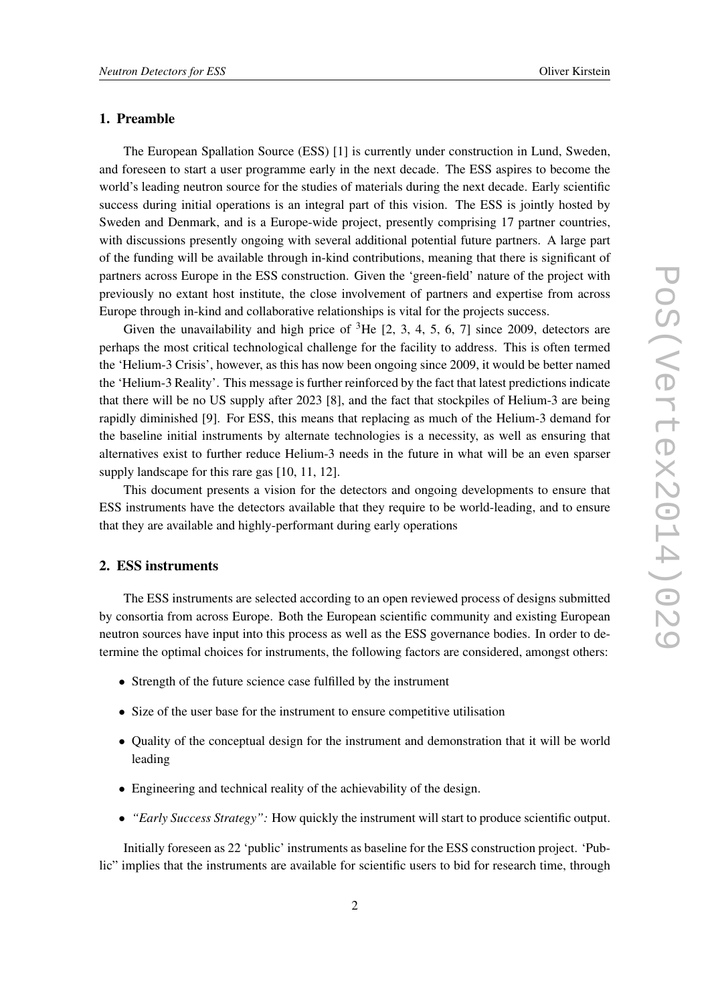## 1. Preamble

The European Spallation Source (ESS) [1] is currently under construction in Lund, Sweden, and foreseen to start a user programme early in the next decade. The ESS aspires to become the world's leading neutron source for the studies of materials during the next decade. Early scientific success during initial operations is an integral part of this vision. The ESS is jointly hosted by Sweden and Denmark, and is a Europe-wide project, presently comprising 17 partner countries, with discussions presently ongoing with several additional potential future partners. A large part of the funding will be available through in-kind contributions, meaning that there is significant of partners across Europe in the ESS construction. Given the 'green-field' nature of the project with previously no extant host institute, the close involvement of partners and expertise from across Europe through in-kind and collaborative relationships is vital for the projects success.

Given the unavailability and high price of  ${}^{3}$ He [2, 3, 4, 5, 6, 7] since 2009, detectors are perhaps the most critical technological challenge for the facility to address. This is often termed the 'Helium-3 Crisis', however, as this has now been ongoing since 2009, it would be better named the 'Helium-3 Reality'. This message is further reinforced by the fact that latest predictions indicate that there will be no US supply after 2023 [8], and the fact that stockpiles of Helium-3 are being rapidly diminished [9]. For ESS, this means that replacing as much of the Helium-3 demand for the baseline initial instruments by alternate technologies is a necessity, as well as ensuring that alternatives exist to further reduce Helium-3 needs in the future in what will be an even sparser supply landscape for this rare gas [10, 11, 12].

This document presents a vision for the detectors and ongoing developments to ensure that ESS instruments have the detectors available that they require to be world-leading, and to ensure that they are available and highly-performant during early operations

### 2. ESS instruments

The ESS instruments are selected according to an open reviewed process of designs submitted by consortia from across Europe. Both the European scientific community and existing European neutron sources have input into this process as well as the ESS governance bodies. In order to determine the optimal choices for instruments, the following factors are considered, amongst others:

- Strength of the future science case fulfilled by the instrument
- Size of the user base for the instrument to ensure competitive utilisation
- Quality of the conceptual design for the instrument and demonstration that it will be world leading
- Engineering and technical reality of the achievability of the design.
- *"Early Success Strategy":* How quickly the instrument will start to produce scientific output.

Initially foreseen as 22 'public' instruments as baseline for the ESS construction project. 'Public" implies that the instruments are available for scientific users to bid for research time, through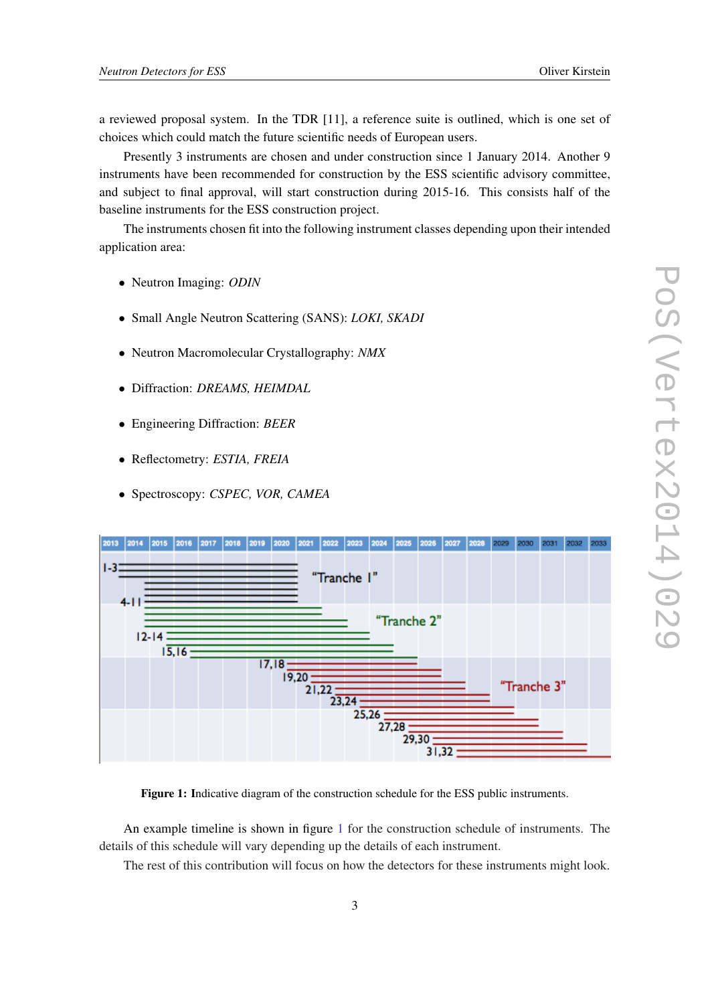a reviewed proposal system. In the TDR [11], a reference suite is outlined, which is one set of choices which could match the future scientific needs of European users.

Presently 3 instruments are chosen and under construction since 1 January 2014. Another 9 instruments have been recommended for construction by the ESS scientific advisory committee, and subject to final approval, will start construction during 2015-16. This consists half of the baseline instruments for the ESS construction project.

The instruments chosen fit into the following instrument classes depending upon their intended application area:

- Neutron Imaging: *ODIN*
- Small Angle Neutron Scattering (SANS): *LOKI, SKADI*
- Neutron Macromolecular Crystallography: *NMX*
- Diffraction: *DREAMS, HEIMDAL*
- Engineering Diffraction: *BEER*
- Reflectometry: *ESTIA, FREIA*
- Spectroscopy: *CSPEC, VOR, CAMEA*



Figure 1: Indicative diagram of the construction schedule for the ESS public instruments.

An example timeline is shown in figure 1 for the construction schedule of instruments. The details of this schedule will vary depending up the details of each instrument.

The rest of this contribution will focus on how the detectors for these instruments might look.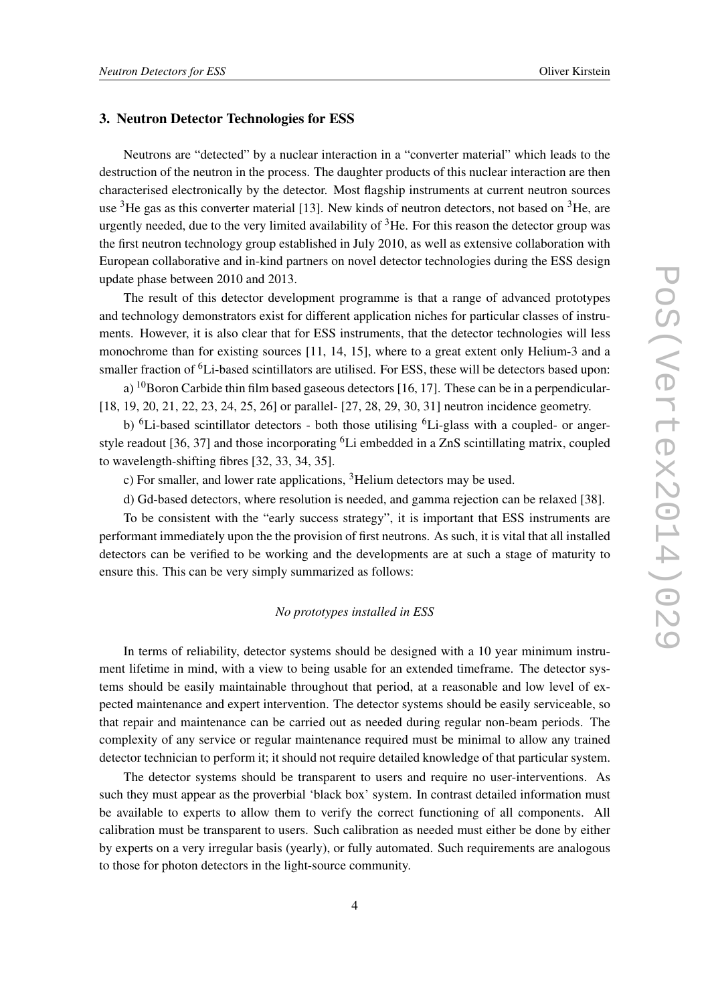## 3. Neutron Detector Technologies for ESS

Neutrons are "detected" by a nuclear interaction in a "converter material" which leads to the destruction of the neutron in the process. The daughter products of this nuclear interaction are then characterised electronically by the detector. Most flagship instruments at current neutron sources use  ${}^{3}$ He gas as this converter material [13]. New kinds of neutron detectors, not based on  ${}^{3}$ He, are urgently needed, due to the very limited availability of  ${}^{3}$ He. For this reason the detector group was the first neutron technology group established in July 2010, as well as extensive collaboration with European collaborative and in-kind partners on novel detector technologies during the ESS design update phase between 2010 and 2013.

The result of this detector development programme is that a range of advanced prototypes and technology demonstrators exist for different application niches for particular classes of instruments. However, it is also clear that for ESS instruments, that the detector technologies will less monochrome than for existing sources [11, 14, 15], where to a great extent only Helium-3 and a smaller fraction of <sup>6</sup>Li-based scintillators are utilised. For ESS, these will be detectors based upon:

a)  $^{10}$ Boron Carbide thin film based gaseous detectors [16, 17]. These can be in a perpendicular-[18, 19, 20, 21, 22, 23, 24, 25, 26] or parallel- [27, 28, 29, 30, 31] neutron incidence geometry.

b) <sup>6</sup>Li-based scintillator detectors - both those utilising <sup>6</sup>Li-glass with a coupled- or angerstyle readout [36, 37] and those incorporating <sup>6</sup>Li embedded in a ZnS scintillating matrix, coupled to wavelength-shifting fibres [32, 33, 34, 35].

c) For smaller, and lower rate applications, <sup>3</sup>Helium detectors may be used.

d) Gd-based detectors, where resolution is needed, and gamma rejection can be relaxed [38].

To be consistent with the "early success strategy", it is important that ESS instruments are performant immediately upon the the provision of first neutrons. As such, it is vital that all installed detectors can be verified to be working and the developments are at such a stage of maturity to ensure this. This can be very simply summarized as follows:

#### *No prototypes installed in ESS*

In terms of reliability, detector systems should be designed with a 10 year minimum instrument lifetime in mind, with a view to being usable for an extended timeframe. The detector systems should be easily maintainable throughout that period, at a reasonable and low level of expected maintenance and expert intervention. The detector systems should be easily serviceable, so that repair and maintenance can be carried out as needed during regular non-beam periods. The complexity of any service or regular maintenance required must be minimal to allow any trained detector technician to perform it; it should not require detailed knowledge of that particular system.

The detector systems should be transparent to users and require no user-interventions. As such they must appear as the proverbial 'black box' system. In contrast detailed information must be available to experts to allow them to verify the correct functioning of all components. All calibration must be transparent to users. Such calibration as needed must either be done by either by experts on a very irregular basis (yearly), or fully automated. Such requirements are analogous to those for photon detectors in the light-source community.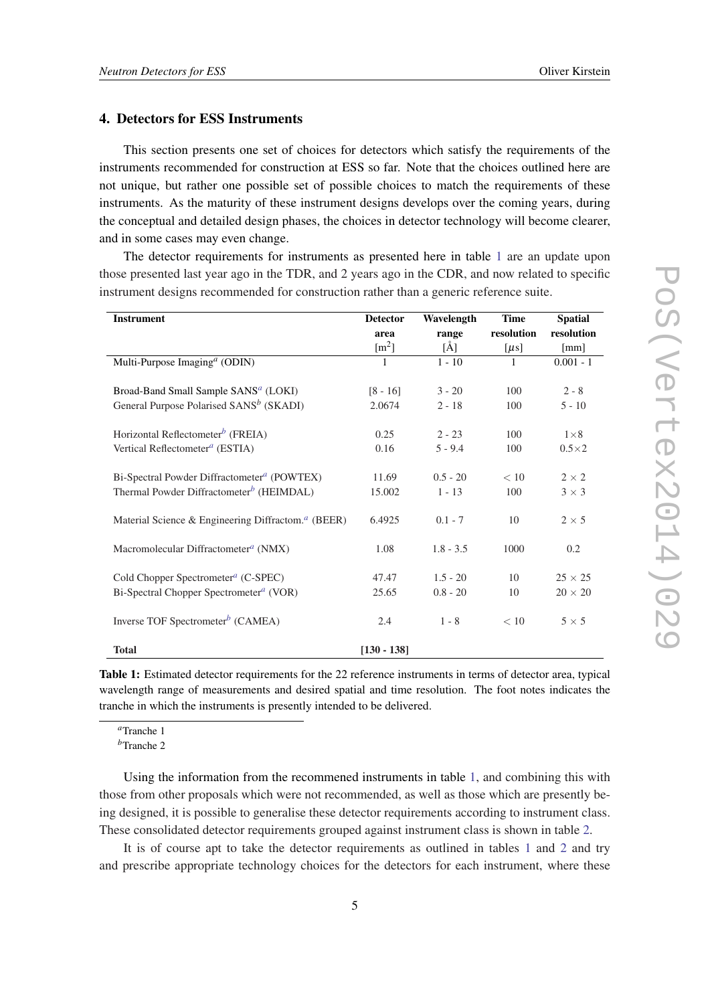## 4. Detectors for ESS Instruments

This section presents one set of choices for detectors which satisfy the requirements of the instruments recommended for construction at ESS so far. Note that the choices outlined here are not unique, but rather one possible set of possible choices to match the requirements of these instruments. As the maturity of these instrument designs develops over the coming years, during the conceptual and detailed design phases, the choices in detector technology will become clearer, and in some cases may even change.

The detector requirements for instruments as presented here in table 1 are an update upon those presented last year ago in the TDR, and 2 years ago in the CDR, and now related to specific instrument designs recommended for construction rather than a generic reference suite.

| <b>Instrument</b>                                                     | <b>Detector</b>     | Wavelength   | <b>Time</b> | <b>Spatial</b> |
|-----------------------------------------------------------------------|---------------------|--------------|-------------|----------------|
|                                                                       | area                | range        | resolution  | resolution     |
|                                                                       | $\lceil m^2 \rceil$ | $\rm{[\AA]}$ | $[\mu s]$   | [mm]           |
| Multi-Purpose Imaging <sup>a</sup> (ODIN)                             | $\mathbf{1}$        | $1 - 10$     | 1           | $0.001 - 1$    |
|                                                                       |                     |              |             |                |
| Broad-Band Small Sample SANS <sup>a</sup> (LOKI)                      | $[8 - 16]$          | $3 - 20$     | 100         | $2 - 8$        |
| General Purpose Polarised SANS <sup>b</sup> (SKADI)                   | 2.0674              | $2 - 18$     | 100         | $5 - 10$       |
|                                                                       |                     |              |             |                |
| Horizontal Reflectometer <sup>b</sup> (FREIA)                         | 0.25                | $2 - 23$     | 100         | $1\times8$     |
| Vertical Reflectometer <sup>a</sup> (ESTIA)                           | 0.16                | $5 - 9.4$    | 100         | $0.5\times2$   |
|                                                                       |                     |              |             |                |
| Bi-Spectral Powder Diffractometer <sup>a</sup> (POWTEX)               | 11.69               | $0.5 - 20$   | < 10        | $2 \times 2$   |
| Thermal Powder Diffractometer <sup>b</sup> (HEIMDAL)                  | 15.002              | $1 - 13$     | 100         | $3 \times 3$   |
| Material Science & Engineering Diffractom. <sup><i>a</i></sup> (BEER) | 6.4925              | $0.1 - 7$    | 10          | $2 \times 5$   |
|                                                                       |                     |              |             |                |
| Macromolecular Diffractometer <sup><i>a</i></sup> (NMX)               | 1.08                | $1.8 - 3.5$  | 1000        | 0.2            |
|                                                                       |                     |              |             |                |
| Cold Chopper Spectrometer <sup><i>a</i></sup> (C-SPEC)                | 47.47               | $1.5 - 20$   | 10          | $25 \times 25$ |
| Bi-Spectral Chopper Spectrometer <sup>a</sup> (VOR)                   | 25.65               | $0.8 - 20$   | 10          | $20 \times 20$ |
| Inverse TOF Spectrometer <sup>b</sup> (CAMEA)                         | 2.4                 | $1 - 8$      | < 10        | $5 \times 5$   |
| <b>Total</b>                                                          | $[130 - 138]$       |              |             |                |

Table 1: Estimated detector requirements for the 22 reference instruments in terms of detector area, typical wavelength range of measurements and desired spatial and time resolution. The foot notes indicates the tranche in which the instruments is presently intended to be delivered.

*<sup>a</sup>*Tranche 1

*<sup>b</sup>*Tranche 2

Using the information from the recommened instruments in table 1, and combining this with those from other proposals which were not recommended, as well as those which are presently being designed, it is possible to generalise these detector requirements according to instrument class. These consolidated detector requirements grouped against instrument class is shown in table [2](#page-5-0).

It is of course apt to take the detector requirements as outlined in tables 1 and [2](#page-5-0) and try and prescribe appropriate technology choices for the detectors for each instrument, where these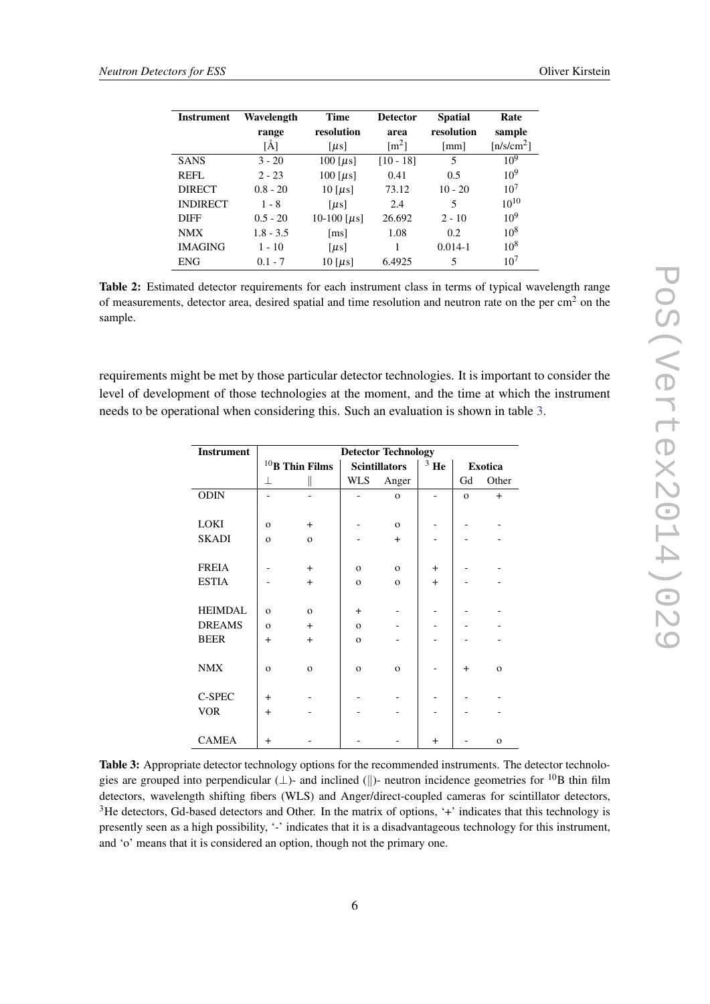<span id="page-5-0"></span>

| <b>Instrument</b> | Wavelength  | <b>Time</b>           | <b>Detector</b>     | <b>Spatial</b>       | Rate            |
|-------------------|-------------|-----------------------|---------------------|----------------------|-----------------|
|                   | range       | resolution            | area                | resolution           | sample          |
|                   | [Å]         | $\lceil \mu s \rceil$ | $\lceil m^2 \rceil$ | $\lceil$ mm $\rceil$ | $[n/s/cm^2]$    |
| <b>SANS</b>       | $3 - 20$    | 100 [ $\mu$ s]        | $[10 - 18]$         | 5                    | $10^{9}$        |
| <b>REFL</b>       | $2 - 23$    | 100 [ $\mu$ s]        | 0.41                | 0.5                  | $10^{9}$        |
| <b>DIRECT</b>     | $0.8 - 20$  | $10$ [ $\mu$ s]       | 73.12               | $10 - 20$            | 10 <sup>7</sup> |
| <b>INDIRECT</b>   | $1 - 8$     | $\lceil \mu s \rceil$ | 2.4                 | 5                    | $10^{10}$       |
| <b>DIFF</b>       | $0.5 - 20$  | 10-100 [ $\mu$ s]     | 26.692              | $2 - 10$             | $10^{9}$        |
| <b>NMX</b>        | $1.8 - 3.5$ | $\lceil ms \rceil$    | 1.08                | 0.2                  | $10^{8}$        |
| <b>IMAGING</b>    | $1 - 10$    | $\lceil \mu s \rceil$ |                     | $0.014 - 1$          | $10^{8}$        |
| <b>ENG</b>        | $0.1 - 7$   | $10$ [ $\mu$ s]       | 6.4925              | 5                    | 10 <sup>7</sup> |

Table 2: Estimated detector requirements for each instrument class in terms of typical wavelength range of measurements, detector area, desired spatial and time resolution and neutron rate on the per  $\text{cm}^2$  on the sample.

requirements might be met by those particular detector technologies. It is important to consider the level of development of those technologies at the moment, and the time at which the instrument needs to be operational when considering this. Such an evaluation is shown in table 3.

| <b>Instrument</b> | <b>Detector Technology</b> |                   |                      |              |           |                |              |
|-------------------|----------------------------|-------------------|----------------------|--------------|-----------|----------------|--------------|
|                   |                            | $10$ B Thin Films | <b>Scintillators</b> |              | $3$ He    | <b>Exotica</b> |              |
|                   | 丄                          |                   | WLS                  | Anger        |           | Gd             | Other        |
| <b>ODIN</b>       |                            |                   |                      | $\mathbf{o}$ |           | $\mathbf{o}$   | $+$          |
|                   |                            |                   |                      |              |           |                |              |
| LOKI              | $\mathbf{o}$               | $+$               |                      | $\mathbf{o}$ |           |                |              |
| <b>SKADI</b>      | $\mathbf{o}$               | $\mathbf{O}$      |                      | $+$          |           |                |              |
|                   |                            |                   |                      |              |           |                |              |
| <b>FREIA</b>      |                            | $+$               | $\mathbf{O}$         | $\mathbf{o}$ | $+$       |                |              |
| <b>ESTIA</b>      |                            | $+$               | $\mathbf{o}$         | $\mathbf{o}$ | $+$       |                |              |
|                   |                            |                   |                      |              |           |                |              |
| <b>HEIMDAL</b>    | $\Omega$                   | $\Omega$          | $+$                  |              |           |                |              |
| <b>DREAMS</b>     | $\mathbf{o}$               | $+$               | $\mathbf{o}$         |              |           |                |              |
| <b>BEER</b>       | $+$                        | $+$               | $\mathbf{o}$         |              |           |                |              |
|                   |                            |                   |                      |              |           |                |              |
| <b>NMX</b>        | $\mathbf{o}$               | $\mathbf{o}$      | $\mathbf{o}$         | $\mathbf{o}$ |           | $\ddot{}$      | $\mathbf{o}$ |
|                   |                            |                   |                      |              |           |                |              |
| C-SPEC            | $+$                        |                   |                      |              |           |                |              |
| <b>VOR</b>        | $+$                        |                   |                      |              |           |                |              |
|                   |                            |                   |                      |              |           |                |              |
| <b>CAMEA</b>      | $+$                        |                   |                      |              | $\ddot{}$ |                | $\mathbf{o}$ |

Table 3: Appropriate detector technology options for the recommended instruments. The detector technologies are grouped into perpendicular  $(\perp)$ - and inclined  $(\parallel)$ - neutron incidence geometries for <sup>10</sup>B thin film detectors, wavelength shifting fibers (WLS) and Anger/direct-coupled cameras for scintillator detectors, <sup>3</sup>He detectors, Gd-based detectors and Other. In the matrix of options, '+' indicates that this technology is presently seen as a high possibility, '-' indicates that it is a disadvantageous technology for this instrument, and 'o' means that it is considered an option, though not the primary one.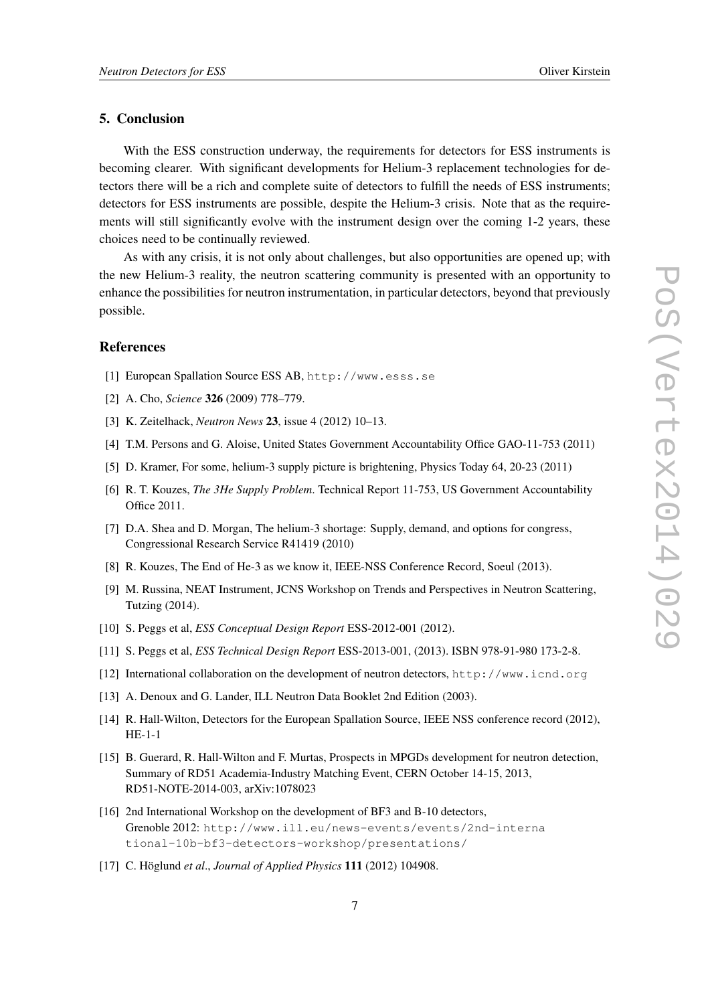## 5. Conclusion

With the ESS construction underway, the requirements for detectors for ESS instruments is becoming clearer. With significant developments for Helium-3 replacement technologies for detectors there will be a rich and complete suite of detectors to fulfill the needs of ESS instruments; detectors for ESS instruments are possible, despite the Helium-3 crisis. Note that as the requirements will still significantly evolve with the instrument design over the coming 1-2 years, these choices need to be continually reviewed.

As with any crisis, it is not only about challenges, but also opportunities are opened up; with the new Helium-3 reality, the neutron scattering community is presented with an opportunity to enhance the possibilities for neutron instrumentation, in particular detectors, beyond that previously possible.

#### **References**

- [1] European Spallation Source ESS AB, http://www.esss.se
- [2] A. Cho, *Science* 326 (2009) 778–779.
- [3] K. Zeitelhack, *Neutron News* 23, issue 4 (2012) 10–13.
- [4] T.M. Persons and G. Aloise, United States Government Accountability Office GAO-11-753 (2011)
- [5] D. Kramer, For some, helium-3 supply picture is brightening, Physics Today 64, 20-23 (2011)
- [6] R. T. Kouzes, *The 3He Supply Problem*. Technical Report 11-753, US Government Accountability Office 2011.
- [7] D.A. Shea and D. Morgan, The helium-3 shortage: Supply, demand, and options for congress, Congressional Research Service R41419 (2010)
- [8] R. Kouzes, The End of He-3 as we know it, IEEE-NSS Conference Record, Soeul (2013).
- [9] M. Russina, NEAT Instrument, JCNS Workshop on Trends and Perspectives in Neutron Scattering, Tutzing (2014).
- [10] S. Peggs et al, *ESS Conceptual Design Report* ESS-2012-001 (2012).
- [11] S. Peggs et al, *ESS Technical Design Report* ESS-2013-001, (2013). ISBN 978-91-980 173-2-8.
- [12] International collaboration on the development of neutron detectors, http://www.icnd.org
- [13] A. Denoux and G. Lander, ILL Neutron Data Booklet 2nd Edition (2003).
- [14] R. Hall-Wilton, Detectors for the European Spallation Source, IEEE NSS conference record (2012), HE-1-1
- [15] B. Guerard, R. Hall-Wilton and F. Murtas, Prospects in MPGDs development for neutron detection, Summary of RD51 Academia-Industry Matching Event, CERN October 14-15, 2013, RD51-NOTE-2014-003, arXiv:1078023
- [16] 2nd International Workshop on the development of BF3 and B-10 detectors, Grenoble 2012: http://www.ill.eu/news-events/events/2nd-interna tional-10b-bf3-detectors-workshop/presentations/
- [17] C. Höglund *et al*., *Journal of Applied Physics* 111 (2012) 104908.